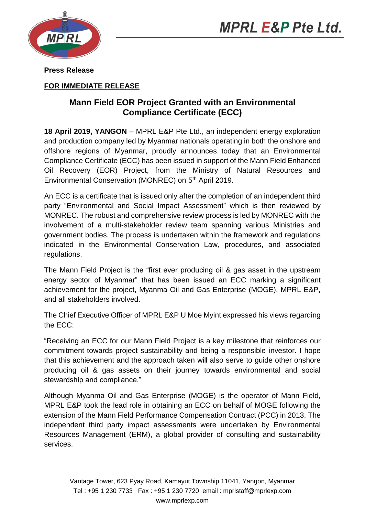



**Press Release** 

## **FOR IMMEDIATE RELEASE**

## **Mann Field EOR Project Granted with an Environmental Compliance Certificate (ECC)**

**18 April 2019, YANGON** – MPRL E&P Pte Ltd., an independent energy exploration and production company led by Myanmar nationals operating in both the onshore and offshore regions of Myanmar, proudly announces today that an Environmental Compliance Certificate (ECC) has been issued in support of the Mann Field Enhanced Oil Recovery (EOR) Project, from the Ministry of Natural Resources and Environmental Conservation (MONREC) on 5<sup>th</sup> April 2019.

An ECC is a certificate that is issued only after the completion of an independent third party "Environmental and Social Impact Assessment" which is then reviewed by MONREC. The robust and comprehensive review process is led by MONREC with the involvement of a multi-stakeholder review team spanning various Ministries and government bodies. The process is undertaken within the framework and regulations indicated in the Environmental Conservation Law, procedures, and associated regulations.

The Mann Field Project is the "first ever producing oil & gas asset in the upstream energy sector of Myanmar" that has been issued an ECC marking a significant achievement for the project, Myanma Oil and Gas Enterprise (MOGE), MPRL E&P, and all stakeholders involved.

The Chief Executive Officer of MPRL E&P U Moe Myint expressed his views regarding the ECC:

"Receiving an ECC for our Mann Field Project is a key milestone that reinforces our commitment towards project sustainability and being a responsible investor. I hope that this achievement and the approach taken will also serve to guide other onshore producing oil & gas assets on their journey towards environmental and social stewardship and compliance."

Although Myanma Oil and Gas Enterprise (MOGE) is the operator of Mann Field, MPRL E&P took the lead role in obtaining an ECC on behalf of MOGE following the extension of the Mann Field Performance Compensation Contract (PCC) in 2013. The independent third party impact assessments were undertaken by Environmental Resources Management (ERM), a global provider of consulting and sustainability services.